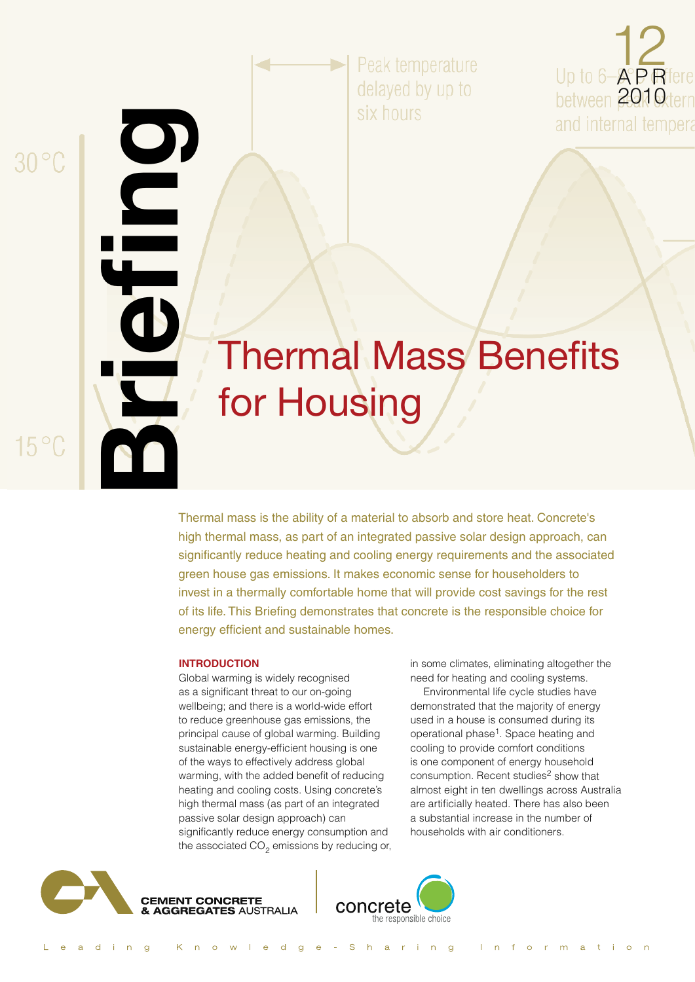$30^{\circ}$ C

**Briefing**

 $15^{\circ}$ C

Peak temperature delayed by up to six hours



# Thermal Mass Benefits for Housing

Thermal mass is the ability of a material to absorb and store heat. Concrete's high thermal mass, as part of an integrated passive solar design approach, can significantly reduce heating and cooling energy requirements and the associated green house gas emissions. It makes economic sense for householders to invest in a thermally comfortable home that will provide cost savings for the rest of its life. This Briefing demonstrates that concrete is the responsible choice for energy efficient and sustainable homes.

#### **Introduction**

Global warming is widely recognised as a significant threat to our on-going wellbeing; and there is a world-wide effort to reduce greenhouse gas emissions, the principal cause of global warming. Building sustainable energy-efficient housing is one of the ways to effectively address global warming, with the added benefit of reducing heating and cooling costs. Using concrete's high thermal mass (as part of an integrated passive solar design approach) can significantly reduce energy consumption and the associated  $CO<sub>2</sub>$  emissions by reducing or, in some climates, eliminating altogether the need for heating and cooling systems.

Environmental life cycle studies have demonstrated that the majority of energy used in a house is consumed during its operational phase<sup>1</sup>. Space heating and cooling to provide comfort conditions is one component of energy household consumption. Recent studies<sup>2</sup> show that almost eight in ten dwellings across Australia are artificially heated. There has also been a substantial increase in the number of households with air conditioners.



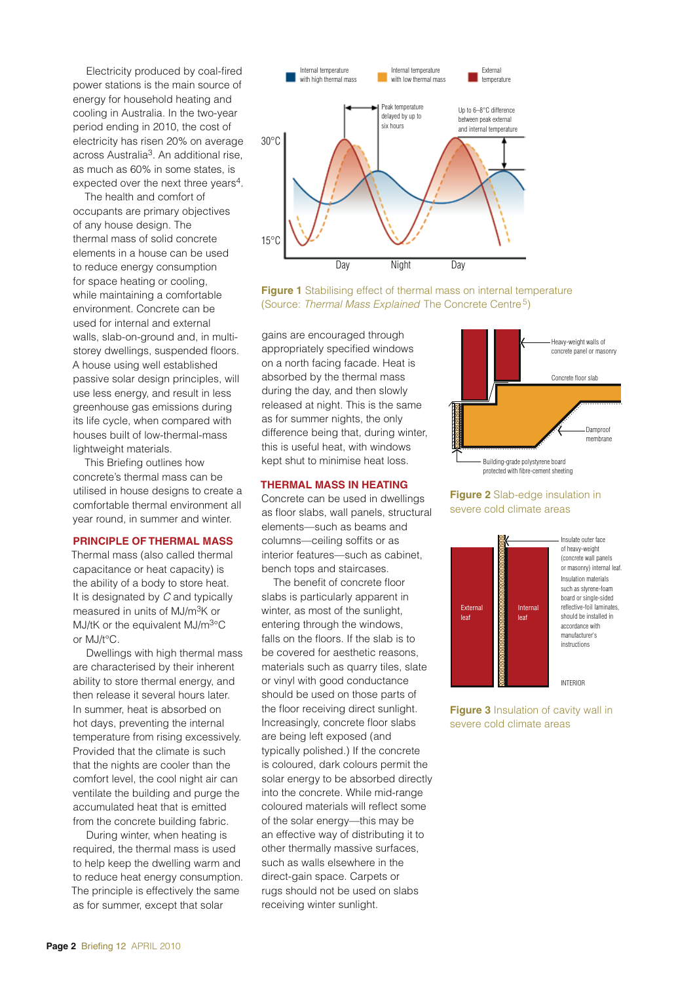Electricity produced by coal-fired power stations is the main source of energy for household heating and cooling in Australia. In the two-year period ending in 2010, the cost of electricity has risen 20% on average across Australia3. An additional rise, as much as 60% in some states, is expected over the next three years<sup>4</sup>.

The health and comfort of occupants are primary objectives of any house design. The thermal mass of solid concrete elements in a house can be used to reduce energy consumption for space heating or cooling, while maintaining a comfortable environment. Concrete can be used for internal and external walls, slab-on-ground and, in multistorey dwellings, suspended floors. A house using well established passive solar design principles, will use less energy, and result in less greenhouse gas emissions during its life cycle, when compared with houses built of low-thermal-mass lightweight materials.

This Briefing outlines how concrete's thermal mass can be utilised in house designs to create a comfortable thermal environment all year round, in summer and winter.

## **Principle of Thermal Mass**

Thermal mass (also called thermal capacitance or heat capacity) is the ability of a body to store heat. It is designated by *C* and typically measured in units of MJ/m3K or MJ/tK or the equivalent  $MJ/m<sup>3</sup>°C$ or MJ/t°C.

Dwellings with high thermal mass are characterised by their inherent ability to store thermal energy, and then release it several hours later. In summer, heat is absorbed on hot days, preventing the internal temperature from rising excessively. Provided that the climate is such that the nights are cooler than the comfort level, the cool night air can ventilate the building and purge the accumulated heat that is emitted from the concrete building fabric.

During winter, when heating is required, the thermal mass is used to help keep the dwelling warm and to reduce heat energy consumption. The principle is effectively the same as for summer, except that solar



**Figure 1** Stabilising effect of thermal mass on internal temperature (Source: *Thermal Mass Explained* The Concrete Centre5)

gains are encouraged through appropriately specified windows on a north facing facade. Heat is absorbed by the thermal mass during the day, and then slowly released at night. This is the same as for summer nights, the only difference being that, during winter, this is useful heat, with windows kept shut to minimise heat loss.

#### **Thermal Mass in Heating**

Concrete can be used in dwellings as floor slabs, wall panels, structural elements—such as beams and columns—ceiling soffits or as interior features—such as cabinet, bench tops and staircases.

The benefit of concrete floor slabs is particularly apparent in winter, as most of the sunlight, entering through the windows, falls on the floors. If the slab is to be covered for aesthetic reasons, materials such as quarry tiles, slate or vinyl with good conductance should be used on those parts of the floor receiving direct sunlight. Increasingly, concrete floor slabs are being left exposed (and typically polished.) If the concrete is coloured, dark colours permit the solar energy to be absorbed directly into the concrete. While mid-range coloured materials will reflect some of the solar energy—this may be an effective way of distributing it to other thermally massive surfaces, such as walls elsewhere in the direct-gain space. Carpets or rugs should not be used on slabs receiving winter sunlight.



# **Figure 2** Slab-edge insulation in severe cold climate areas



**Figure 3** Insulation of cavity wall in severe cold climate areas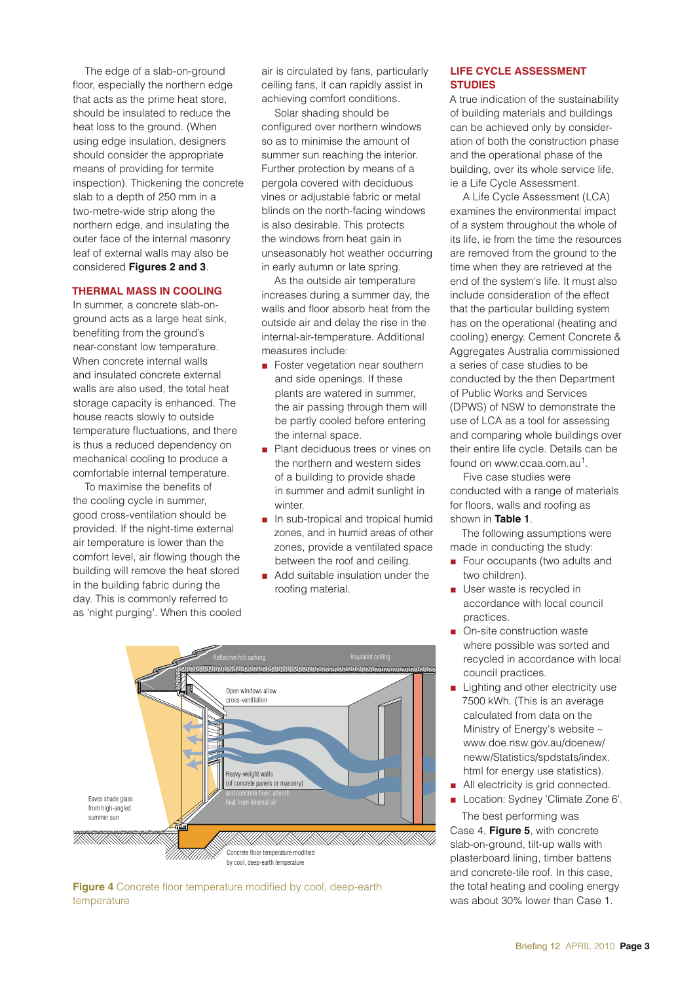The edge of a slab-on-ground floor, especially the northern edge that acts as the prime heat store, should be insulated to reduce the heat loss to the ground. (When using edge insulation, designers should consider the appropriate means of providing for termite inspection). Thickening the concrete slab to a depth of 250 mm in a two-metre-wide strip along the northern edge, and insulating the outer face of the internal masonry leaf of external walls may also be considered **Figures 2 and 3**.

# **Thermal Mass in Cooling**

In summer, a concrete slab-onground acts as a large heat sink, benefiting from the ground's near-constant low temperature. When concrete internal walls and insulated concrete external walls are also used, the total heat storage capacity is enhanced. The house reacts slowly to outside temperature fluctuations, and there is thus a reduced dependency on mechanical cooling to produce a comfortable internal temperature.

To maximise the benefits of the cooling cycle in summer, good cross-ventilation should be provided. If the night-time external air temperature is lower than the comfort level, air flowing though the building will remove the heat stored in the building fabric during the day. This is commonly referred to as 'night purging'. When this cooled

air is circulated by fans, particularly ceiling fans, it can rapidly assist in achieving comfort conditions.

Solar shading should be configured over northern windows so as to minimise the amount of summer sun reaching the interior. Further protection by means of a pergola covered with deciduous vines or adjustable fabric or metal blinds on the north-facing windows is also desirable. This protects the windows from heat gain in unseasonably hot weather occurring in early autumn or late spring.

As the outside air temperature increases during a summer day, the walls and floor absorb heat from the outside air and delay the rise in the internal-air-temperature. Additional measures include:

- $\blacksquare$  Foster vegetation near southern and side openings. If these plants are watered in summer, the air passing through them will be partly cooled before entering the internal space.
- **n** Plant deciduous trees or vines on the northern and western sides of a building to provide shade in summer and admit sunlight in winter.
- n In sub-tropical and tropical humid zones, and in humid areas of other zones, provide a ventilated space between the roof and ceiling.
- $\blacksquare$  Add suitable insulation under the roofing material.



**Figure 4** Concrete floor temperature modified by cool, deep-earth temperature

# **LIFE CYCLE ASSESSMENT STUDIES**

A true indication of the sustainability of building materials and buildings can be achieved only by consideration of both the construction phase and the operational phase of the building, over its whole service life, ie a Life Cycle Assessment.

A Life Cycle Assessment (LCA) examines the environmental impact of a system throughout the whole of its life, ie from the time the resources are removed from the ground to the time when they are retrieved at the end of the system's life. It must also include consideration of the effect that the particular building system has on the operational (heating and cooling) energy. Cement Concrete & Aggregates Australia commissioned a series of case studies to be conducted by the then Department of Public Works and Services (DPWS) of NSW to demonstrate the use of LCA as a tool for assessing and comparing whole buildings over their entire life cycle. Details can be found on www.ccaa.com.au<sup>1</sup>.

Five case studies were conducted with a range of materials for floors, walls and roofing as shown in **Table 1**.

The following assumptions were made in conducting the study:

- Four occupants (two adults and two children).
- **D** User waste is recycled in accordance with local council practices.
- On-site construction waste where possible was sorted and recycled in accordance with local council practices.
- $\blacksquare$  Lighting and other electricity use 7500 kWh. (This is an average calculated from data on the Ministry of Energy's website – www.doe.nsw.gov.au/doenew/ neww/Statistics/spdstats/index. html for energy use statistics).
- All electricity is grid connected.
- Location: Sydney 'Climate Zone 6'. The best performing was

Case 4, **Figure 5**, with concrete slab-on-ground, tilt-up walls with plasterboard lining, timber battens and concrete-tile roof. In this case, the total heating and cooling energy was about 30% lower than Case 1.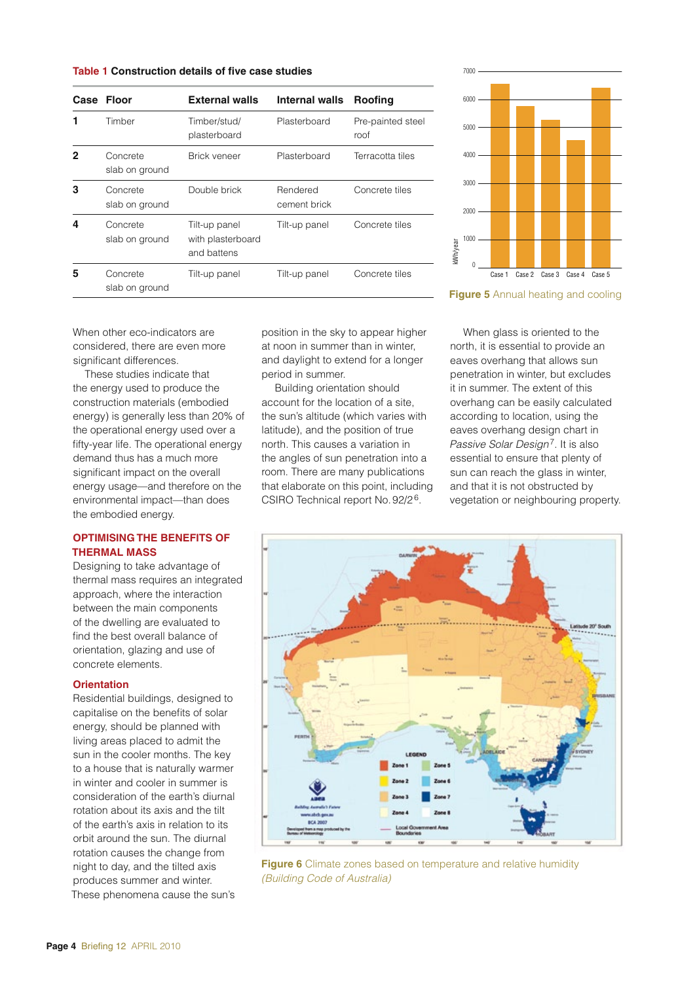**Table 1 Construction details of five case studies** <sup>7000</sup>

|   | Case Floor                 | <b>External walls</b>                             | Internal walls           | Roofing                   |
|---|----------------------------|---------------------------------------------------|--------------------------|---------------------------|
|   | Timber                     | Timber/stud/<br>plasterboard                      | Plasterboard             | Pre-painted steel<br>roof |
| 2 | Concrete<br>slab on ground | Brick veneer                                      | Plasterboard             | Terracotta tiles          |
| з | Concrete<br>slab on ground | Double brick                                      | Rendered<br>cement brick | Concrete tiles            |
| 4 | Concrete<br>slab on ground | Tilt-up panel<br>with plasterboard<br>and battens | Tilt-up panel            | Concrete tiles            |
| 5 | Concrete<br>slab on ground | Tilt-up panel                                     | Tilt-up panel            | Concrete tiles            |

When other eco-indicators are considered, there are even more significant differences.

These studies indicate that the energy used to produce the construction materials (embodied energy) is generally less than 20% of the operational energy used over a fifty-year life. The operational energy demand thus has a much more significant impact on the overall energy usage—and therefore on the environmental impact—than does the embodied energy.

# **Optimising the Benefits of Thermal Mass**

Designing to take advantage of thermal mass requires an integrated approach, where the interaction between the main components of the dwelling are evaluated to find the best overall balance of orientation, glazing and use of concrete elements.

# **Orientation**

Residential buildings, designed to capitalise on the benefits of solar energy, should be planned with living areas placed to admit the sun in the cooler months. The key to a house that is naturally warmer in winter and cooler in summer is consideration of the earth's diurnal rotation about its axis and the tilt of the earth's axis in relation to its orbit around the sun. The diurnal rotation causes the change from night to day, and the tilted axis produces summer and winter. These phenomena cause the sun's position in the sky to appear higher at noon in summer than in winter, and daylight to extend for a longer period in summer.

Building orientation should account for the location of a site, the sun's altitude (which varies with latitude), and the position of true north. This causes a variation in the angles of sun penetration into a room. There are many publications that elaborate on this point, including CSIRO Technical report No.92/26.



**Figure 5** Annual heating and cooling

When glass is oriented to the north, it is essential to provide an eaves overhang that allows sun penetration in winter, but excludes it in summer. The extent of this overhang can be easily calculated according to location, using the eaves overhang design chart in *Passive Solar Design*7. It is also essential to ensure that plenty of sun can reach the glass in winter, and that it is not obstructed by vegetation or neighbouring property.<br>
The same of the glass is oriented to the<br>
north, it is essential to provide an<br>
eaves overhang that allows sun<br>
penetration in winter, but excludes<br>
it in summer. The extent of this<br>
o



**Figure 6** Climate zones based on temperature and relative humidity *(Building Code of Australia)*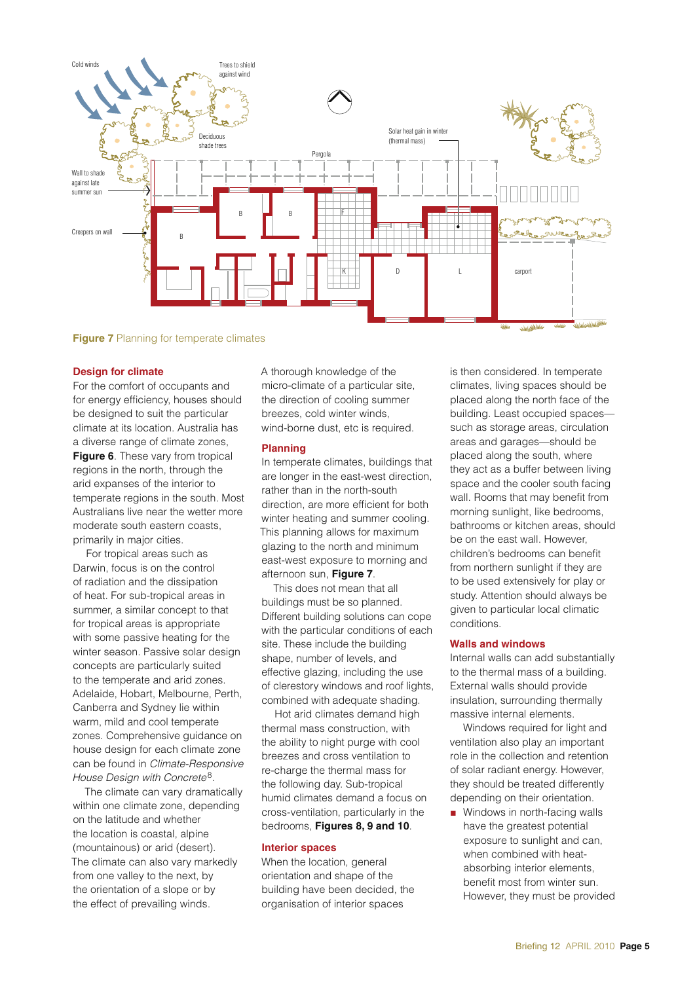

**Figure 7** Planning for temperate climates

### **Design for climate**

For the comfort of occupants and for energy efficiency, houses should be designed to suit the particular climate at its location. Australia has a diverse range of climate zones, **Figure 6**. These vary from tropical regions in the north, through the arid expanses of the interior to temperate regions in the south. Most Australians live near the wetter more moderate south eastern coasts, primarily in major cities.

For tropical areas such as Darwin, focus is on the control of radiation and the dissipation of heat. For sub-tropical areas in summer, a similar concept to that for tropical areas is appropriate with some passive heating for the winter season. Passive solar design concepts are particularly suited to the temperate and arid zones. Adelaide, Hobart, Melbourne, Perth, Canberra and Sydney lie within warm, mild and cool temperate zones. Comprehensive guidance on house design for each climate zone can be found in *Climate-Responsive House Design with Concrete*8*.* 

The climate can vary dramatically within one climate zone, depending on the latitude and whether the location is coastal, alpine (mountainous) or arid (desert). The climate can also vary markedly from one valley to the next, by the orientation of a slope or by the effect of prevailing winds.

A thorough knowledge of the micro-climate of a particular site, the direction of cooling summer breezes, cold winter winds, wind-borne dust, etc is required.

### **Planning**

In temperate climates, buildings that are longer in the east-west direction, rather than in the north-south direction, are more efficient for both winter heating and summer cooling. This planning allows for maximum glazing to the north and minimum east-west exposure to morning and afternoon sun, **Figure 7**.

This does not mean that all buildings must be so planned. Different building solutions can cope with the particular conditions of each site. These include the building shape, number of levels, and effective glazing, including the use of clerestory windows and roof lights, combined with adequate shading.

Hot arid climates demand high thermal mass construction, with the ability to night purge with cool breezes and cross ventilation to re-charge the thermal mass for the following day. Sub-tropical humid climates demand a focus on cross-ventilation, particularly in the bedrooms, **Figures 8, 9 and 10**.

### **Interior spaces**

When the location, general orientation and shape of the building have been decided, the organisation of interior spaces

is then considered. In temperate climates, living spaces should be placed along the north face of the building. Least occupied spaces such as storage areas, circulation areas and garages—should be placed along the south, where they act as a buffer between living space and the cooler south facing wall. Rooms that may benefit from morning sunlight, like bedrooms, bathrooms or kitchen areas, should be on the east wall. However, children's bedrooms can benefit from northern sunlight if they are to be used extensively for play or study. Attention should always be given to particular local climatic conditions.

## **Walls and windows**

Internal walls can add substantially to the thermal mass of a building. External walls should provide insulation, surrounding thermally massive internal elements.

Windows required for light and ventilation also play an important role in the collection and retention of solar radiant energy. However, they should be treated differently depending on their orientation.

 $\blacksquare$  Windows in north-facing walls have the greatest potential exposure to sunlight and can, when combined with heatabsorbing interior elements, benefit most from winter sun. However, they must be provided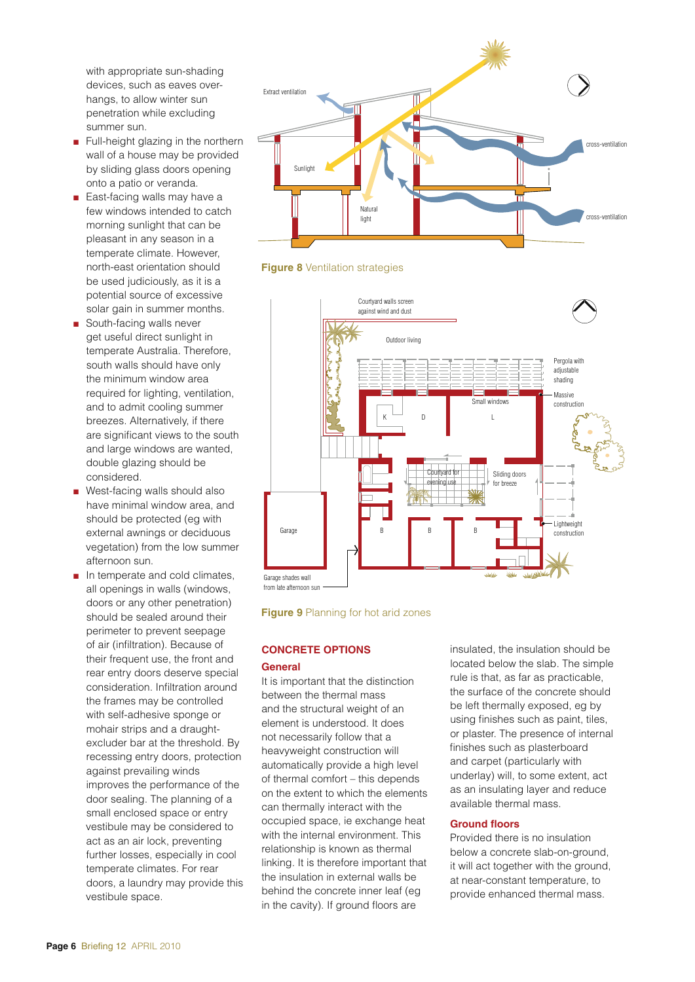with appropriate sun-shading devices, such as eaves overhangs, to allow winter sun penetration while excluding summer sun.

- **n** Full-height glazing in the northern wall of a house may be provided by sliding glass doors opening onto a patio or veranda.
- East-facing walls may have a few windows intended to catch morning sunlight that can be pleasant in any season in a temperate climate. However, north-east orientation should be used judiciously, as it is a potential source of excessive solar gain in summer months.
- **B** South-facing walls never get useful direct sunlight in temperate Australia. Therefore, south walls should have only the minimum window area required for lighting, ventilation, and to admit cooling summer breezes. Alternatively, if there are significant views to the south and large windows are wanted, double glazing should be considered.
- West-facing walls should also have minimal window area, and should be protected (eg with external awnings or deciduous vegetation) from the low summer afternoon sun.
- <sup>n</sup> In temperate and cold climates, all openings in walls (windows, doors or any other penetration) should be sealed around their perimeter to prevent seepage of air (infiltration). Because of their frequent use, the front and rear entry doors deserve special consideration. Infiltration around the frames may be controlled with self-adhesive sponge or mohair strips and a draughtexcluder bar at the threshold. By recessing entry doors, protection against prevailing winds improves the performance of the door sealing. The planning of a small enclosed space or entry vestibule may be considered to act as an air lock, preventing further losses, especially in cool temperate climates. For rear doors, a laundry may provide this vestibule space.









# **Concrete Options**

# **General**

It is important that the distinction between the thermal mass and the structural weight of an element is understood. It does not necessarily follow that a heavyweight construction will automatically provide a high level of thermal comfort – this depends on the extent to which the elements can thermally interact with the occupied space, ie exchange heat with the internal environment. This relationship is known as thermal linking. It is therefore important that the insulation in external walls be behind the concrete inner leaf (eg in the cavity). If ground floors are

insulated, the insulation should be located below the slab. The simple rule is that, as far as practicable, the surface of the concrete should be left thermally exposed, eg by using finishes such as paint, tiles, or plaster. The presence of internal finishes such as plasterboard and carpet (particularly with underlay) will, to some extent, act as an insulating layer and reduce available thermal mass.

# **Ground floors**

Provided there is no insulation below a concrete slab-on-ground, it will act together with the ground, at near-constant temperature, to provide enhanced thermal mass.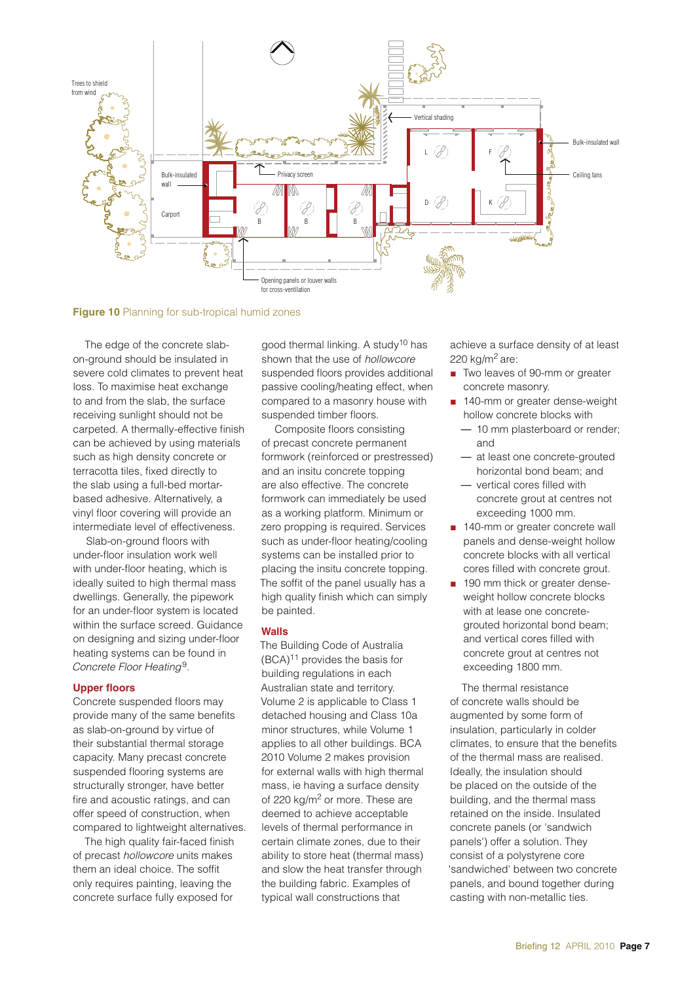

**Figure 10** Planning for sub-tropical humid zones

The edge of the concrete slabon-ground should be insulated in severe cold climates to prevent heat loss. To maximise heat exchange to and from the slab, the surface receiving sunlight should not be carpeted. A thermally-effective finish can be achieved by using materials such as high density concrete or terracotta tiles, fixed directly to the slab using a full-bed mortarbased adhesive. Alternatively, a vinyl floor covering will provide an intermediate level of effectiveness.

Slab-on-ground floors with under-floor insulation work well with under-floor heating, which is ideally suited to high thermal mass dwellings. Generally, the pipework for an under-floor system is located within the surface screed. Guidance on designing and sizing under-floor heating systems can be found in *Concrete Floor Heating*9.

# **Upper floors**

Concrete suspended floors may provide many of the same benefits as slab-on-ground by virtue of their substantial thermal storage capacity. Many precast concrete suspended flooring systems are structurally stronger, have better fire and acoustic ratings, and can offer speed of construction, when compared to lightweight alternatives.

The high quality fair-faced finish of precast *hollowcore* units makes them an ideal choice. The soffit only requires painting, leaving the concrete surface fully exposed for

good thermal linking. A study<sup>10</sup> has shown that the use of *hollowcore* suspended floors provides additional passive cooling/heating effect, when compared to a masonry house with suspended timber floors.

Composite floors consisting of precast concrete permanent formwork (reinforced or prestressed) and an insitu concrete topping are also effective. The concrete formwork can immediately be used as a working platform. Minimum or zero propping is required. Services such as under-floor heating/cooling systems can be installed prior to placing the insitu concrete topping. The soffit of the panel usually has a high quality finish which can simply be painted.

# **Walls**

The Building Code of Australia  $(BCA)^{11}$  provides the basis for building regulations in each Australian state and territory. Volume 2 is applicable to Class 1 detached housing and Class 10a minor structures, while Volume 1 applies to all other buildings. BCA 2010 Volume 2 makes provision for external walls with high thermal mass, ie having a surface density of 220 kg/m<sup>2</sup> or more. These are deemed to achieve acceptable levels of thermal performance in certain climate zones, due to their ability to store heat (thermal mass) and slow the heat transfer through the building fabric. Examples of typical wall constructions that

achieve a surface density of at least 220  $kg/m<sup>2</sup>$  are:

- Two leaves of 90-mm or greater concrete masonry.
- 140-mm or greater dense-weight hollow concrete blocks with
	- 10 mm plasterboard or render; and
	- at least one concrete-grouted horizontal bond beam; and
	- vertical cores filled with concrete grout at centres not exceeding 1000 mm.
- 140-mm or greater concrete wall panels and dense-weight hollow concrete blocks with all vertical cores filled with concrete grout.
- **n** 190 mm thick or greater denseweight hollow concrete blocks with at lease one concretegrouted horizontal bond beam; and vertical cores filled with concrete grout at centres not exceeding 1800 mm.

The thermal resistance of concrete walls should be augmented by some form of insulation, particularly in colder climates, to ensure that the benefits of the thermal mass are realised. Ideally, the insulation should be placed on the outside of the building, and the thermal mass retained on the inside. Insulated concrete panels (or 'sandwich panels') offer a solution. They consist of a polystyrene core 'sandwiched' between two concrete panels, and bound together during casting with non-metallic ties.